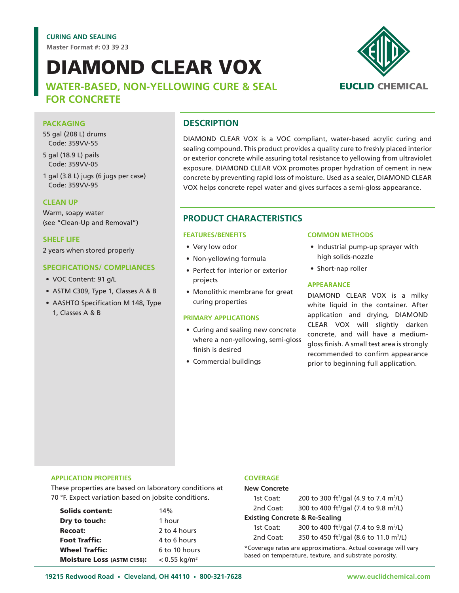**Master Format #:** 03 39 23

# DIAMOND CLEAR VOX

## **WATER-BASED, NON-YELLOWING CURE & SEAL FOR CONCRETE**



## **PACKAGING**

55 gal (208 L) drums Code: 359VV-55

5 gal (18.9 L) pails Code: 359VV-05

1 gal (3.8 L) jugs (6 jugs per case) Code: 359VV-95

#### **CLEAN UP**

Warm, soapy water (see "Clean-Up and Removal")

#### **SHELF LIFE**

2 years when stored properly

#### **SPECIFICATIONS/ COMPLIANCES**

- VOC Content: 91 g/L
- ASTM C309, Type 1, Classes A & B
- AASHTO Specification M 148, Type 1, Classes A & B

## **DESCRIPTION**

DIAMOND CLEAR VOX is a VOC compliant, water-based acrylic curing and sealing compound. This product provides a quality cure to freshly placed interior or exterior concrete while assuring total resistance to yellowing from ultraviolet exposure. DIAMOND CLEAR VOX promotes proper hydration of cement in new concrete by preventing rapid loss of moisture. Used as a sealer, DIAMOND CLEAR VOX helps concrete repel water and gives surfaces a semi-gloss appearance.

## **PRODUCT CHARACTERISTICS**

#### **FEATURES/BENEFITS**

- Very low odor
- Non-yellowing formula
- Perfect for interior or exterior projects
- Monolithic membrane for great curing properties

#### **PRIMARY APPLICATIONS**

- Curing and sealing new concrete where a non-yellowing, semi-gloss finish is desired
- Commercial buildings

#### **COMMON METHODS**

- Industrial pump-up sprayer with high solids-nozzle
- Short-nap roller

#### **APPEARANCE**

DIAMOND CLEAR VOX is a milky white liquid in the container. After application and drying, DIAMOND CLEAR VOX will slightly darken concrete, and will have a mediumgloss finish. A small test area is strongly recommended to confirm appearance prior to beginning full application.

#### **APPLICATION PROPERTIES**

These properties are based on laboratory conditions at 70 °F. Expect variation based on jobsite conditions.

| <b>Solids content:</b>            | 14%                        |
|-----------------------------------|----------------------------|
| Dry to touch:                     | 1 hour                     |
| <b>Recoat:</b>                    | 2 to 4 hours               |
| <b>Foot Traffic:</b>              | 4 to 6 hours               |
| <b>Wheel Traffic:</b>             | 6 to 10 hours              |
| <b>Moisture Loss (ASTM C156):</b> | $< 0.55$ kg/m <sup>2</sup> |

#### **COVERAGE**

| <b>New Concrete</b>                       |                                                                 |  |
|-------------------------------------------|-----------------------------------------------------------------|--|
| 1st Coat:                                 | 200 to 300 ft <sup>2</sup> /gal (4.9 to 7.4 m <sup>2</sup> /L)  |  |
| 2nd Coat:                                 | 300 to 400 ft <sup>2</sup> /gal (7.4 to 9.8 m <sup>2</sup> /L)  |  |
| <b>Existing Concrete &amp; Re-Sealing</b> |                                                                 |  |
| 1st Coat:                                 | 300 to 400 ft <sup>2</sup> /gal (7.4 to 9.8 m <sup>2</sup> /L)  |  |
| 2nd Coat:                                 | 350 to 450 ft <sup>2</sup> /gal (8.6 to 11.0 m <sup>2</sup> /L) |  |
|                                           |                                                                 |  |

\*Coverage rates are approximations. Actual coverage will vary based on temperature, texture, and substrate porosity.